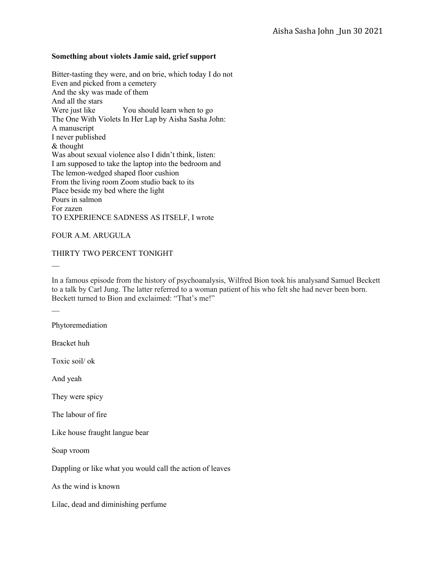## **Something about violets Jamie said, grief support**

Bitter-tasting they were, and on brie, which today I do not Even and picked from a cemetery And the sky was made of them And all the stars Were just like You should learn when to go The One With Violets In Her Lap by Aisha Sasha John: A manuscript I never published & thought Was about sexual violence also I didn't think, listen: I am supposed to take the laptop into the bedroom and The lemon-wedged shaped floor cushion From the living room Zoom studio back to its Place beside my bed where the light Pours in salmon For zazen TO EXPERIENCE SADNESS AS ITSELF, I wrote

## FOUR A.M. ARUGULA

## THIRTY TWO PERCENT TONIGHT

 $\mathcal{L}$ 

In a famous episode from the history of psychoanalysis, Wilfred Bion took his analysand Samuel Beckett to a talk by Carl Jung. The latter referred to a woman patient of his who felt she had never been born. Beckett turned to Bion and exclaimed: "That's me!"

 $\mathcal{L}$ 

Phytoremediation

Bracket huh

Toxic soil/ ok

And yeah

They were spicy

The labour of fire

Like house fraught langue bear

Soap vroom

Dappling or like what you would call the action of leaves

As the wind is known

Lilac, dead and diminishing perfume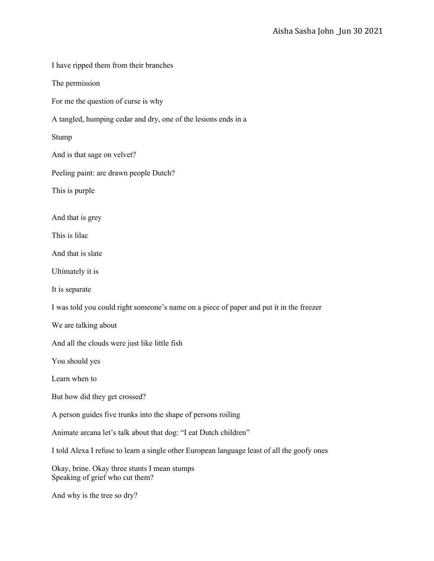I have ripped them from their branches The permission For me the question of curse is why A tangled, humping cedar and dry, one of the lesions ends in a Stump And is that sage on velvet? Peeling paint: are drawn people Dutch? This is purple And that is grey This is lilac And that is slate Ultimately it is It is separate I was told you could right someone's name on a piece of paper and put it in the freezer We are talking about And all the clouds were just like little fish You should yes Learn when to But how did they get crossed? A person guides five trunks into the shape of persons roiling Animate arcana let's talk about that dog: "I eat Dutch children" I told Alexa I refuse to learn a single other European language least of all the goofy ones Okay, brine. Okay three stunts I mean stumps Speaking of grief who cut them? And why is the tree so dry?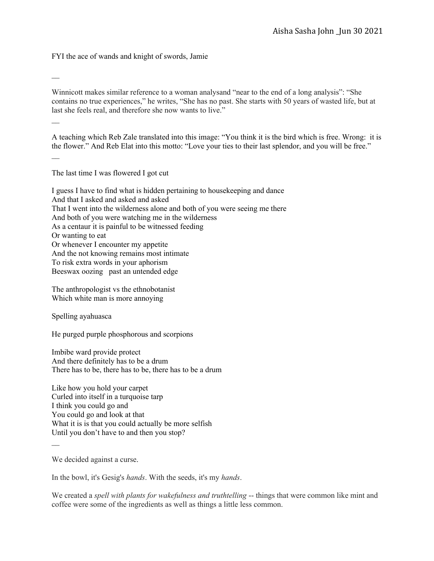FYI the ace of wands and knight of swords, Jamie

Winnicott makes similar reference to a woman analysand "near to the end of a long analysis": "She contains no true experiences," he writes, "She has no past. She starts with 50 years of wasted life, but at last she feels real, and therefore she now wants to live."

 $\mathcal{L}$ 

A teaching which Reb Zale translated into this image: "You think it is the bird which is free. Wrong: it is the flower." And Reb Elat into this motto: "Love your ties to their last splendor, and you will be free."

 $\mathcal{L}=\mathcal{L}$ 

The last time I was flowered I got cut

I guess I have to find what is hidden pertaining to housekeeping and dance And that I asked and asked and asked That I went into the wilderness alone and both of you were seeing me there And both of you were watching me in the wilderness As a centaur it is painful to be witnessed feeding Or wanting to eat Or whenever I encounter my appetite And the not knowing remains most intimate To risk extra words in your aphorism Beeswax oozing past an untended edge

The anthropologist vs the ethnobotanist Which white man is more annoying

Spelling ayahuasca

He purged purple phosphorous and scorpions

Imbibe ward provide protect And there definitely has to be a drum There has to be, there has to be, there has to be a drum

Like how you hold your carpet Curled into itself in a turquoise tarp I think you could go and You could go and look at that What it is is that you could actually be more selfish Until you don't have to and then you stop?

We decided against a curse.

 $\overline{\phantom{a}}$ 

In the bowl, it's Gesig's *hands*. With the seeds, it's my *hands*.

We created a *spell with plants for wakefulness and truthtelling* -- things that were common like mint and coffee were some of the ingredients as well as things a little less common.